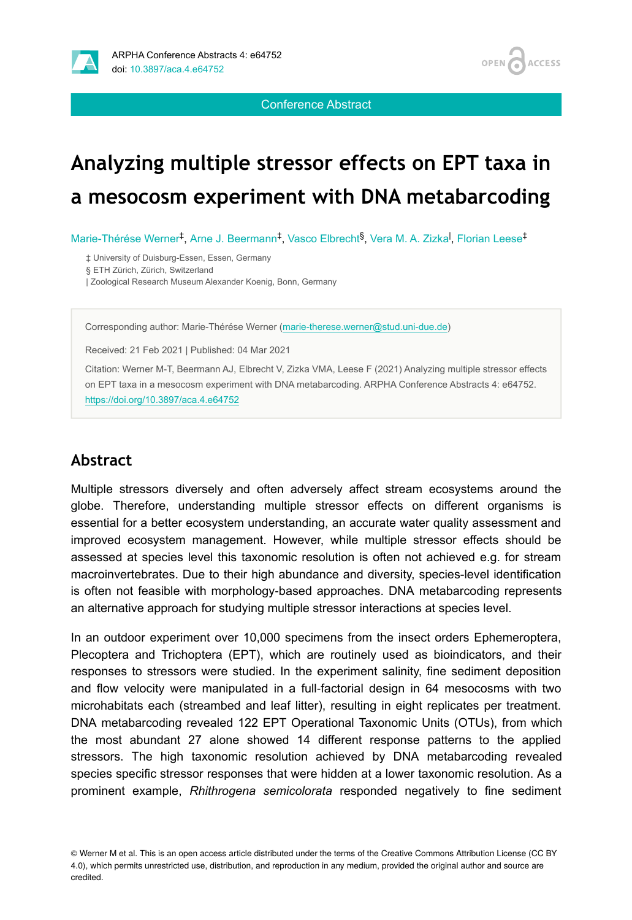

Conference Abstract

**ACCESS** 

**OPEN** 

# **Analyzing multiple stressor effects on EPT taxa in a mesocosm experiment with DNA metabarcoding**

Marie-Thérése Werner<sup>t</sup>, Arne J. Beermann<sup>t</sup>, Vasco Elbrecht<sup>§</sup>, Vera M. A. Zizka<sup>l</sup>, Florian Leese<sup>‡</sup>

‡ University of Duisburg-Essen, Essen, Germany

§ ETH Zürich, Zürich, Switzerland

| Zoological Research Museum Alexander Koenig, Bonn, Germany

Corresponding author: Marie-Thérése Werner [\(marie-therese.werner@stud.uni-due.de\)](mailto:marie-therese.werner@stud.uni-due.de)

Received: 21 Feb 2021 | Published: 04 Mar 2021

Citation: Werner M-T, Beermann AJ, Elbrecht V, Zizka VMA, Leese F (2021) Analyzing multiple stressor effects on EPT taxa in a mesocosm experiment with DNA metabarcoding. ARPHA Conference Abstracts 4: e64752. <https://doi.org/10.3897/aca.4.e64752>

## **Abstract**

Multiple stressors diversely and often adversely affect stream ecosystems around the globe. Therefore, understanding multiple stressor effects on different organisms is essential for a better ecosystem understanding, an accurate water quality assessment and improved ecosystem management. However, while multiple stressor effects should be assessed at species level this taxonomic resolution is often not achieved e.g. for stream macroinvertebrates. Due to their high abundance and diversity, species-level identification is often not feasible with morphology-based approaches. DNA metabarcoding represents an alternative approach for studying multiple stressor interactions at species level.

In an outdoor experiment over 10,000 specimens from the insect orders Ephemeroptera, Plecoptera and Trichoptera (EPT), which are routinely used as bioindicators, and their responses to stressors were studied. In the experiment salinity, fine sediment deposition and flow velocity were manipulated in a full-factorial design in 64 mesocosms with two microhabitats each (streambed and leaf litter), resulting in eight replicates per treatment. DNA metabarcoding revealed 122 EPT Operational Taxonomic Units (OTUs), from which the most abundant 27 alone showed 14 different response patterns to the applied stressors. The high taxonomic resolution achieved by DNA metabarcoding revealed species specific stressor responses that were hidden at a lower taxonomic resolution. As a prominent example, *Rhithrogena semicolorata* responded negatively to fine sediment

© Werner M et al. This is an open access article distributed under the terms of the Creative Commons Attribution License (CC BY 4.0), which permits unrestricted use, distribution, and reproduction in any medium, provided the original author and source are credited.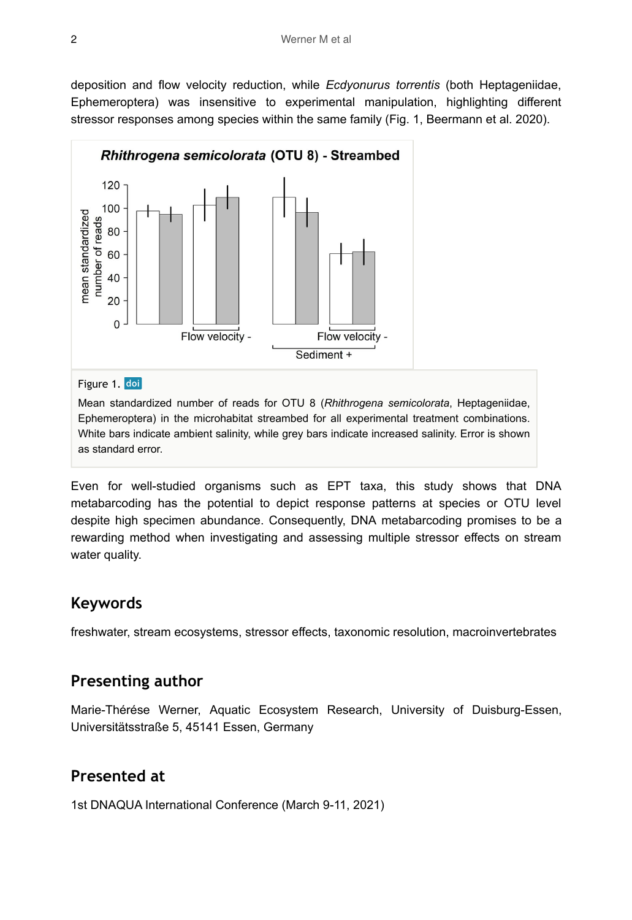deposition and flow velocity reduction, while *Ecdyonurus torrentis* (both Heptageniidae, Ephemeroptera) was insensitive to experimental manipulation, highlighting different stressor responses among species within the same family (Fig. 1, Beermann et al. 2020).



Figure 1. doi

Mean standardized number of reads for OTU 8 (*Rhithrogena semicolorata*, Heptageniidae, Ephemeroptera) in the microhabitat streambed for all experimental treatment combinations. White bars indicate ambient salinity, while grey bars indicate increased salinity. Error is shown as standard error.

Even for well-studied organisms such as EPT taxa, this study shows that DNA metabarcoding has the potential to depict response patterns at species or OTU level despite high specimen abundance. Consequently, DNA metabarcoding promises to be a rewarding method when investigating and assessing multiple stressor effects on stream water quality.

#### **Keywords**

freshwater, stream ecosystems, stressor effects, taxonomic resolution, macroinvertebrates

#### **Presenting author**

Marie-Thérése Werner, Aquatic Ecosystem Research, University of Duisburg-Essen, Universitätsstraße 5, 45141 Essen, Germany

## **Presented at**

1st DNAQUA International Conference (March 9-11, 2021)